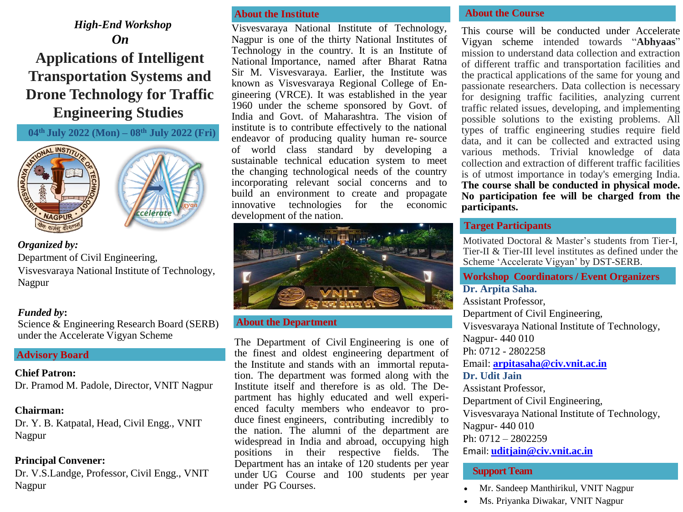*High-End Workshop On* **Applications of Intelligent Transportation Systems and Drone Technology for Traffic Engineering Studies**

**04th July 2022 (Mon) – 08th July 2022 (Fri)**





*Organized by:* Department of Civil Engineering, Visvesvaraya National Institute of Technology, Nagpur

## *Funded by***:**

Science & Engineering Research Board (SERB) under the Accelerate Vigyan Scheme

## **Advisory Board**

## **Chief Patron:**

Dr. Pramod M. Padole, Director, VNIT Nagpur

# **Chairman:**

Dr. Y. B. Katpatal, Head, Civil Engg., VNIT Nagpur

# **Principal Convener:**

Dr. V.S.Landge, Professor, Civil Engg., VNIT Nagpur

## **About the Institute**

Visvesvaraya National Institute of Technology, Nagpur is one of the thirty National Institutes of Technology in the country. It is an Institute of National Importance, named after Bharat Ratna Sir M. Visvesvaraya. Earlier, the Institute was known as Visvesvaraya Regional College of Engineering (VRCE). It was established in the year 1960 under the scheme sponsored by Govt. of India and Govt. of Maharashtra. The vision of institute is to contribute effectively to the national endeavor of producing quality human re- source of world class standard by developing a sustainable technical education system to meet the changing technological needs of the country incorporating relevant social concerns and to build an environment to create and propagate innovative technologies for the economic development of the nation.



## **About the Department**

The Department of Civil Engineering is one of the finest and oldest engineering department of the Institute and stands with an immortal reputation. The department was formed along with the Institute itself and therefore is as old. The Department has highly educated and well experienced faculty members who endeavor to produce finest engineers, contributing incredibly to the nation. The alumni of the department are widespread in India and abroad, occupying high positions in their respective fields. The Department has an intake of 120 students per year under UG Course and 100 students per year under PG Courses.

## **About the Course**

This course will be conducted under Accelerate Vigyan scheme intended towards "**Abhyaas**" mission to understand data collection and extraction of different traffic and transportation facilities and the practical applications of the same for young and passionate researchers. Data collection is necessary for designing traffic facilities, analyzing current traffic related issues, developing, and implementing possible solutions to the existing problems. All types of traffic engineering studies require field data, and it can be collected and extracted using various methods. Trivial knowledge of data collection and extraction of different traffic facilities is of utmost importance in today's emerging India. **The course shall be conducted in physical mode. No participation fee will be charged from the participants.**

# **Target Participants**

Motivated Doctoral & Master's students from Tier-I, Tier-II & Tier-III level institutes as defined under the Scheme 'Accelerate Vigyan' by DST-SERB.

# **Workshop Coordinators / Event Organizers Dr. Arpita Saha.**

Assistant Professor, Department of Civil Engineering, Visvesvaraya National Institute of Technology, Nagpur- 440 010 Ph: 0712 - 2802258 Email: **[arpitasaha@civ.vnit.ac.in](mailto:arpitasaha@civ.vnit.ac.in) Dr. Udit Jain** Assistant Professor, Department of Civil Engineering, Visvesvaraya National Institute of Technology, Nagpur- 440 010 Ph: 0712 – 2802259 Email: **[uditjain@civ.vnit.ac.in](mailto:uditjain@civ.vnit.ac.in)**

# **Support Team**

- Mr. Sandeep Manthirikul, VNIT Nagpur
- Ms. Priyanka Diwakar, VNIT Nagpur